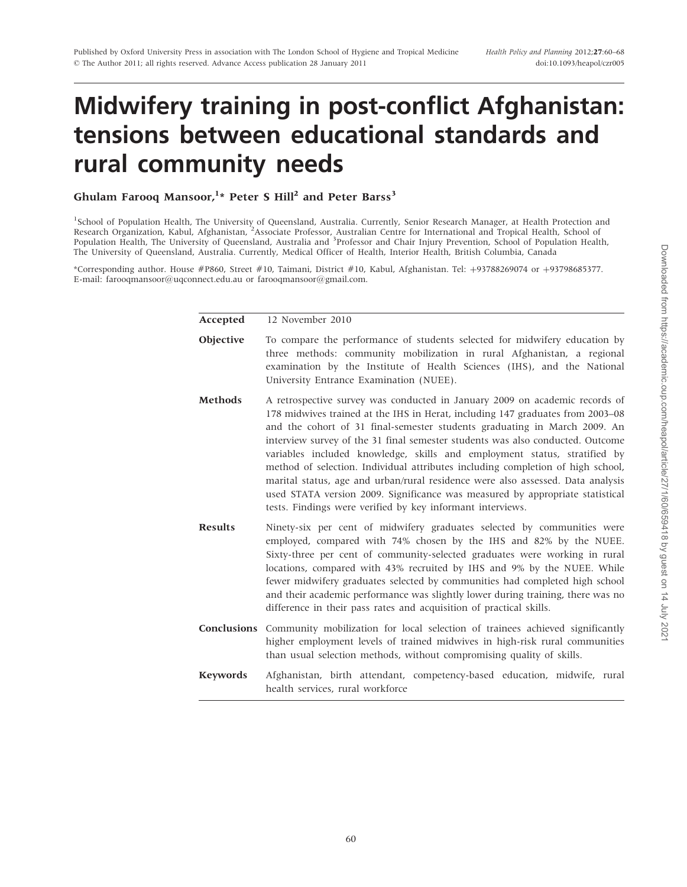# Midwifery training in post-conflict Afghanistan: tensions between educational standards and rural community needs

Ghulam Farooq Mansoor,<sup>1</sup>\* Peter S Hill<sup>2</sup> and Peter Barss<sup>3</sup>

<sup>1</sup>School of Population Health, The University of Queensland, Australia. Currently, Senior Research Manager, at Health Protection and Research Organization, Kabul, Afghanistan, <sup>2</sup>Associate Professor, Australian Centre for International and Tropical Health, School of<br>Population Health, The University of Queensland, Australia and <sup>3</sup>Professor and Chair In The University of Queensland, Australia. Currently, Medical Officer of Health, Interior Health, British Columbia, Canada

\*Corresponding author. House #P860, Street #10, Taimani, District #10, Kabul, Afghanistan. Tel: þ93788269074 or þ93798685377. E-mail: farooqmansoor@uqconnect.edu.au or farooqmansoor@gmail.com.

## Accepted 12 November 2010

- **Objective** To compare the performance of students selected for midwifery education by three methods: community mobilization in rural Afghanistan, a regional examination by the Institute of Health Sciences (IHS), and the National University Entrance Examination (NUEE).
- Methods A retrospective survey was conducted in January 2009 on academic records of 178 midwives trained at the IHS in Herat, including 147 graduates from 2003–08 and the cohort of 31 final-semester students graduating in March 2009. An interview survey of the 31 final semester students was also conducted. Outcome variables included knowledge, skills and employment status, stratified by method of selection. Individual attributes including completion of high school, marital status, age and urban/rural residence were also assessed. Data analysis used STATA version 2009. Significance was measured by appropriate statistical tests. Findings were verified by key informant interviews.
- Results Ninety-six per cent of midwifery graduates selected by communities were employed, compared with 74% chosen by the IHS and 82% by the NUEE. Sixty-three per cent of community-selected graduates were working in rural locations, compared with 43% recruited by IHS and 9% by the NUEE. While fewer midwifery graduates selected by communities had completed high school and their academic performance was slightly lower during training, there was no difference in their pass rates and acquisition of practical skills.
- Conclusions Community mobilization for local selection of trainees achieved significantly higher employment levels of trained midwives in high-risk rural communities than usual selection methods, without compromising quality of skills.
- Keywords Afghanistan, birth attendant, competency-based education, midwife, rural health services, rural workforce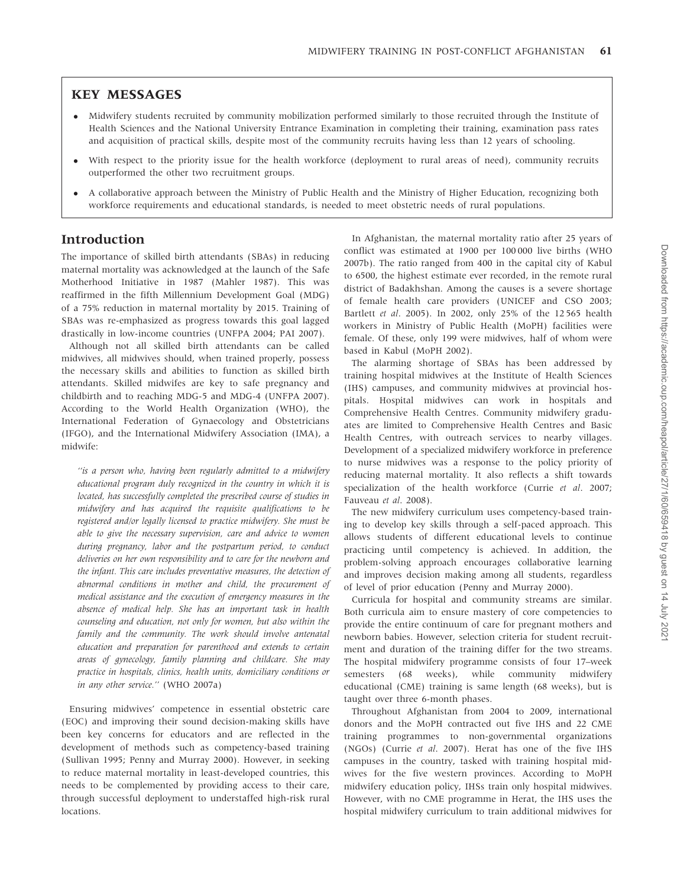# KEY MESSAGES

- $\bullet$  Midwifery students recruited by community mobilization performed similarly to those recruited through the Institute of Health Sciences and the National University Entrance Examination in completing their training, examination pass rates and acquisition of practical skills, despite most of the community recruits having less than 12 years of schooling.
- $\bullet$  With respect to the priority issue for the health workforce (deployment to rural areas of need), community recruits outperformed the other two recruitment groups.
- $\bullet$  A collaborative approach between the Ministry of Public Health and the Ministry of Higher Education, recognizing both workforce requirements and educational standards, is needed to meet obstetric needs of rural populations.

# Introduction

The importance of skilled birth attendants (SBAs) in reducing maternal mortality was acknowledged at the launch of the Safe Motherhood Initiative in 1987 (Mahler 1987). This was reaffirmed in the fifth Millennium Development Goal (MDG) of a 75% reduction in maternal mortality by 2015. Training of SBAs was re-emphasized as progress towards this goal lagged drastically in low-income countries (UNFPA 2004; PAI 2007).

Although not all skilled birth attendants can be called midwives, all midwives should, when trained properly, possess the necessary skills and abilities to function as skilled birth attendants. Skilled midwifes are key to safe pregnancy and childbirth and to reaching MDG-5 and MDG-4 (UNFPA 2007). According to the World Health Organization (WHO), the International Federation of Gynaecology and Obstetricians (IFGO), and the International Midwifery Association (IMA), a midwife:

''is a person who, having been regularly admitted to a midwifery educational program duly recognized in the country in which it is located, has successfully completed the prescribed course of studies in midwifery and has acquired the requisite qualifications to be registered and/or legally licensed to practice midwifery. She must be able to give the necessary supervision, care and advice to women during pregnancy, labor and the postpartum period, to conduct deliveries on her own responsibility and to care for the newborn and the infant. This care includes preventative measures, the detection of abnormal conditions in mother and child, the procurement of medical assistance and the execution of emergency measures in the absence of medical help. She has an important task in health counseling and education, not only for women, but also within the family and the community. The work should involve antenatal education and preparation for parenthood and extends to certain areas of gynecology, family planning and childcare. She may practice in hospitals, clinics, health units, domiciliary conditions or in any other service.'' (WHO 2007a)

Ensuring midwives' competence in essential obstetric care (EOC) and improving their sound decision-making skills have been key concerns for educators and are reflected in the development of methods such as competency-based training (Sullivan 1995; Penny and Murray 2000). However, in seeking to reduce maternal mortality in least-developed countries, this needs to be complemented by providing access to their care, through successful deployment to understaffed high-risk rural locations.

In Afghanistan, the maternal mortality ratio after 25 years of conflict was estimated at 1900 per 100 000 live births (WHO 2007b). The ratio ranged from 400 in the capital city of Kabul to 6500, the highest estimate ever recorded, in the remote rural district of Badakhshan. Among the causes is a severe shortage of female health care providers (UNICEF and CSO 2003; Bartlett et al. 2005). In 2002, only 25% of the 12 565 health workers in Ministry of Public Health (MoPH) facilities were female. Of these, only 199 were midwives, half of whom were based in Kabul (MoPH 2002).

The alarming shortage of SBAs has been addressed by training hospital midwives at the Institute of Health Sciences (IHS) campuses, and community midwives at provincial hospitals. Hospital midwives can work in hospitals and Comprehensive Health Centres. Community midwifery graduates are limited to Comprehensive Health Centres and Basic Health Centres, with outreach services to nearby villages. Development of a specialized midwifery workforce in preference to nurse midwives was a response to the policy priority of reducing maternal mortality. It also reflects a shift towards specialization of the health workforce (Currie et al. 2007; Fauveau et al. 2008).

The new midwifery curriculum uses competency-based training to develop key skills through a self-paced approach. This allows students of different educational levels to continue practicing until competency is achieved. In addition, the problem-solving approach encourages collaborative learning and improves decision making among all students, regardless of level of prior education (Penny and Murray 2000).

Curricula for hospital and community streams are similar. Both curricula aim to ensure mastery of core competencies to provide the entire continuum of care for pregnant mothers and newborn babies. However, selection criteria for student recruitment and duration of the training differ for the two streams. The hospital midwifery programme consists of four 17–week semesters (68 weeks), while community midwifery educational (CME) training is same length (68 weeks), but is taught over three 6-month phases.

Throughout Afghanistan from 2004 to 2009, international donors and the MoPH contracted out five IHS and 22 CME training programmes to non-governmental organizations (NGOs) (Currie et al. 2007). Herat has one of the five IHS campuses in the country, tasked with training hospital midwives for the five western provinces. According to MoPH midwifery education policy, IHSs train only hospital midwives. However, with no CME programme in Herat, the IHS uses the hospital midwifery curriculum to train additional midwives for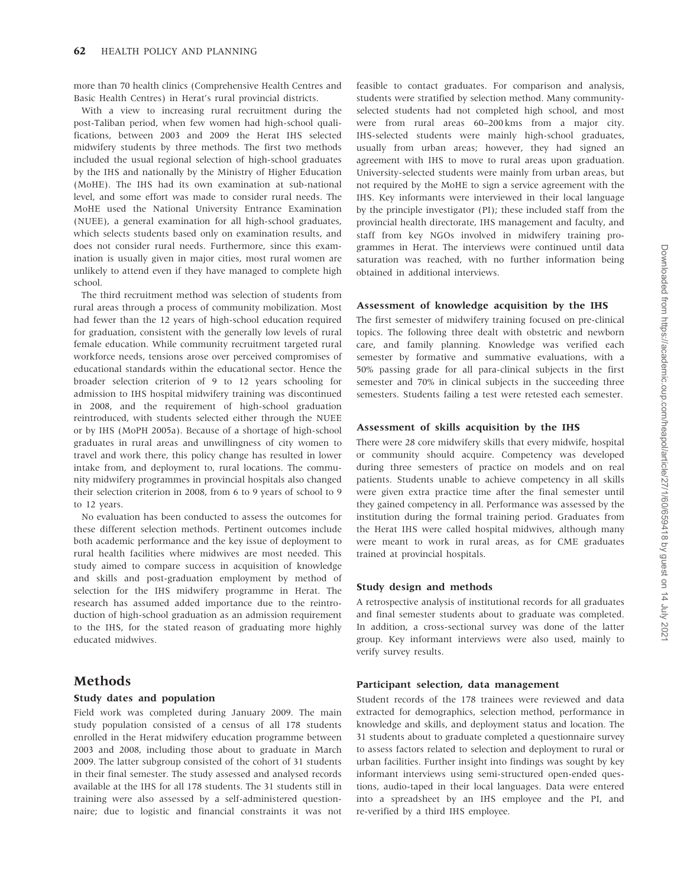more than 70 health clinics (Comprehensive Health Centres and Basic Health Centres) in Herat's rural provincial districts.

With a view to increasing rural recruitment during the post-Taliban period, when few women had high-school qualifications, between 2003 and 2009 the Herat IHS selected midwifery students by three methods. The first two methods included the usual regional selection of high-school graduates by the IHS and nationally by the Ministry of Higher Education (MoHE). The IHS had its own examination at sub-national level, and some effort was made to consider rural needs. The MoHE used the National University Entrance Examination (NUEE), a general examination for all high-school graduates, which selects students based only on examination results, and does not consider rural needs. Furthermore, since this examination is usually given in major cities, most rural women are unlikely to attend even if they have managed to complete high school.

The third recruitment method was selection of students from rural areas through a process of community mobilization. Most had fewer than the 12 years of high-school education required for graduation, consistent with the generally low levels of rural female education. While community recruitment targeted rural workforce needs, tensions arose over perceived compromises of educational standards within the educational sector. Hence the broader selection criterion of 9 to 12 years schooling for admission to IHS hospital midwifery training was discontinued in 2008, and the requirement of high-school graduation reintroduced, with students selected either through the NUEE or by IHS (MoPH 2005a). Because of a shortage of high-school graduates in rural areas and unwillingness of city women to travel and work there, this policy change has resulted in lower intake from, and deployment to, rural locations. The community midwifery programmes in provincial hospitals also changed their selection criterion in 2008, from 6 to 9 years of school to 9 to 12 years.

No evaluation has been conducted to assess the outcomes for these different selection methods. Pertinent outcomes include both academic performance and the key issue of deployment to rural health facilities where midwives are most needed. This study aimed to compare success in acquisition of knowledge and skills and post-graduation employment by method of selection for the IHS midwifery programme in Herat. The research has assumed added importance due to the reintroduction of high-school graduation as an admission requirement to the IHS, for the stated reason of graduating more highly educated midwives.

# Methods

## Study dates and population

Field work was completed during January 2009. The main study population consisted of a census of all 178 students enrolled in the Herat midwifery education programme between 2003 and 2008, including those about to graduate in March 2009. The latter subgroup consisted of the cohort of 31 students in their final semester. The study assessed and analysed records available at the IHS for all 178 students. The 31 students still in training were also assessed by a self-administered questionnaire; due to logistic and financial constraints it was not

feasible to contact graduates. For comparison and analysis, students were stratified by selection method. Many communityselected students had not completed high school, and most were from rural areas 60–200 kms from a major city. IHS-selected students were mainly high-school graduates, usually from urban areas; however, they had signed an agreement with IHS to move to rural areas upon graduation. University-selected students were mainly from urban areas, but not required by the MoHE to sign a service agreement with the IHS. Key informants were interviewed in their local language by the principle investigator (PI); these included staff from the provincial health directorate, IHS management and faculty, and staff from key NGOs involved in midwifery training programmes in Herat. The interviews were continued until data saturation was reached, with no further information being obtained in additional interviews.

## Assessment of knowledge acquisition by the IHS

The first semester of midwifery training focused on pre-clinical topics. The following three dealt with obstetric and newborn care, and family planning. Knowledge was verified each semester by formative and summative evaluations, with a 50% passing grade for all para-clinical subjects in the first semester and 70% in clinical subjects in the succeeding three semesters. Students failing a test were retested each semester.

#### Assessment of skills acquisition by the IHS

There were 28 core midwifery skills that every midwife, hospital or community should acquire. Competency was developed during three semesters of practice on models and on real patients. Students unable to achieve competency in all skills were given extra practice time after the final semester until they gained competency in all. Performance was assessed by the institution during the formal training period. Graduates from the Herat IHS were called hospital midwives, although many were meant to work in rural areas, as for CME graduates trained at provincial hospitals.

#### Study design and methods

A retrospective analysis of institutional records for all graduates and final semester students about to graduate was completed. In addition, a cross-sectional survey was done of the latter group. Key informant interviews were also used, mainly to verify survey results.

#### Participant selection, data management

Student records of the 178 trainees were reviewed and data extracted for demographics, selection method, performance in knowledge and skills, and deployment status and location. The 31 students about to graduate completed a questionnaire survey to assess factors related to selection and deployment to rural or urban facilities. Further insight into findings was sought by key informant interviews using semi-structured open-ended questions, audio-taped in their local languages. Data were entered into a spreadsheet by an IHS employee and the PI, and re-verified by a third IHS employee.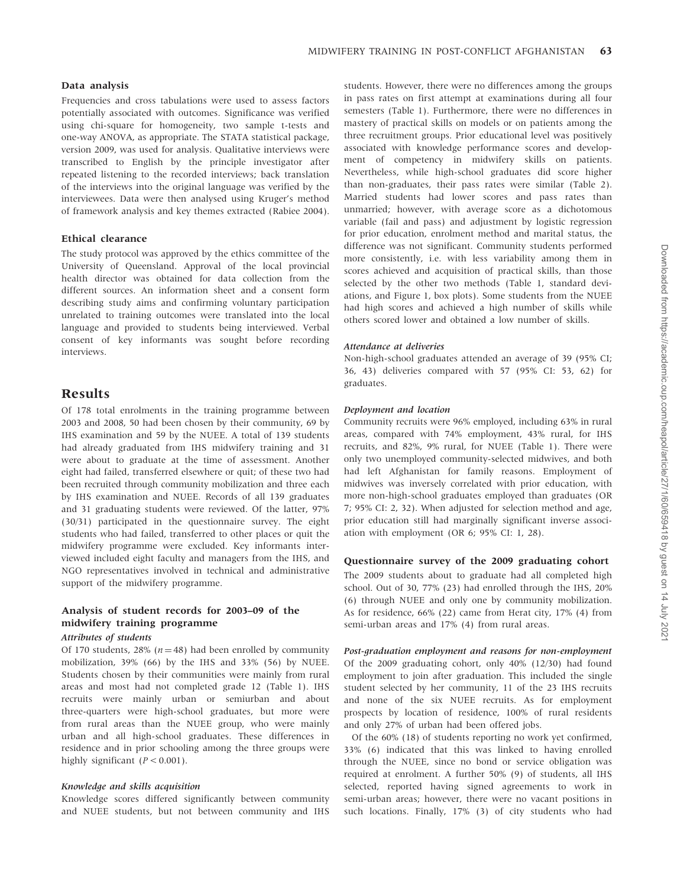## Data analysis

Frequencies and cross tabulations were used to assess factors potentially associated with outcomes. Significance was verified using chi-square for homogeneity, two sample t-tests and one-way ANOVA, as appropriate. The STATA statistical package, version 2009, was used for analysis. Qualitative interviews were transcribed to English by the principle investigator after repeated listening to the recorded interviews; back translation of the interviews into the original language was verified by the interviewees. Data were then analysed using Kruger's method of framework analysis and key themes extracted (Rabiee 2004).

#### Ethical clearance

The study protocol was approved by the ethics committee of the University of Queensland. Approval of the local provincial health director was obtained for data collection from the different sources. An information sheet and a consent form describing study aims and confirming voluntary participation unrelated to training outcomes were translated into the local language and provided to students being interviewed. Verbal consent of key informants was sought before recording interviews.

# Results

Of 178 total enrolments in the training programme between 2003 and 2008, 50 had been chosen by their community, 69 by IHS examination and 59 by the NUEE. A total of 139 students had already graduated from IHS midwifery training and 31 were about to graduate at the time of assessment. Another eight had failed, transferred elsewhere or quit; of these two had been recruited through community mobilization and three each by IHS examination and NUEE. Records of all 139 graduates and 31 graduating students were reviewed. Of the latter, 97% (30/31) participated in the questionnaire survey. The eight students who had failed, transferred to other places or quit the midwifery programme were excluded. Key informants interviewed included eight faculty and managers from the IHS, and NGO representatives involved in technical and administrative support of the midwifery programme.

# Analysis of student records for 2003–09 of the midwifery training programme

#### Attributes of students

Of 170 students, 28% ( $n = 48$ ) had been enrolled by community mobilization, 39% (66) by the IHS and 33% (56) by NUEE. Students chosen by their communities were mainly from rural areas and most had not completed grade 12 (Table 1). IHS recruits were mainly urban or semiurban and about three-quarters were high-school graduates, but more were from rural areas than the NUEE group, who were mainly urban and all high-school graduates. These differences in residence and in prior schooling among the three groups were highly significant  $(P < 0.001)$ .

#### Knowledge and skills acquisition

Knowledge scores differed significantly between community and NUEE students, but not between community and IHS students. However, there were no differences among the groups in pass rates on first attempt at examinations during all four semesters (Table 1). Furthermore, there were no differences in mastery of practical skills on models or on patients among the three recruitment groups. Prior educational level was positively associated with knowledge performance scores and development of competency in midwifery skills on patients. Nevertheless, while high-school graduates did score higher than non-graduates, their pass rates were similar (Table 2). Married students had lower scores and pass rates than unmarried; however, with average score as a dichotomous variable (fail and pass) and adjustment by logistic regression for prior education, enrolment method and marital status, the difference was not significant. Community students performed more consistently, i.e. with less variability among them in scores achieved and acquisition of practical skills, than those selected by the other two methods (Table 1, standard deviations, and Figure 1, box plots). Some students from the NUEE had high scores and achieved a high number of skills while others scored lower and obtained a low number of skills.

#### Attendance at deliveries

Non-high-school graduates attended an average of 39 (95% CI; 36, 43) deliveries compared with 57 (95% CI: 53, 62) for graduates.

#### Deployment and location

Community recruits were 96% employed, including 63% in rural areas, compared with 74% employment, 43% rural, for IHS recruits, and 82%, 9% rural, for NUEE (Table 1). There were only two unemployed community-selected midwives, and both had left Afghanistan for family reasons. Employment of midwives was inversely correlated with prior education, with more non-high-school graduates employed than graduates (OR 7; 95% CI: 2, 32). When adjusted for selection method and age, prior education still had marginally significant inverse association with employment (OR 6; 95% CI: 1, 28).

#### Questionnaire survey of the 2009 graduating cohort

The 2009 students about to graduate had all completed high school. Out of 30, 77% (23) had enrolled through the IHS, 20% (6) through NUEE and only one by community mobilization. As for residence, 66% (22) came from Herat city, 17% (4) from semi-urban areas and 17% (4) from rural areas.

Post-graduation employment and reasons for non-employment Of the 2009 graduating cohort, only 40% (12/30) had found employment to join after graduation. This included the single student selected by her community, 11 of the 23 IHS recruits and none of the six NUEE recruits. As for employment prospects by location of residence, 100% of rural residents and only 27% of urban had been offered jobs.

Of the 60% (18) of students reporting no work yet confirmed, 33% (6) indicated that this was linked to having enrolled through the NUEE, since no bond or service obligation was required at enrolment. A further 50% (9) of students, all IHS selected, reported having signed agreements to work in semi-urban areas; however, there were no vacant positions in such locations. Finally, 17% (3) of city students who had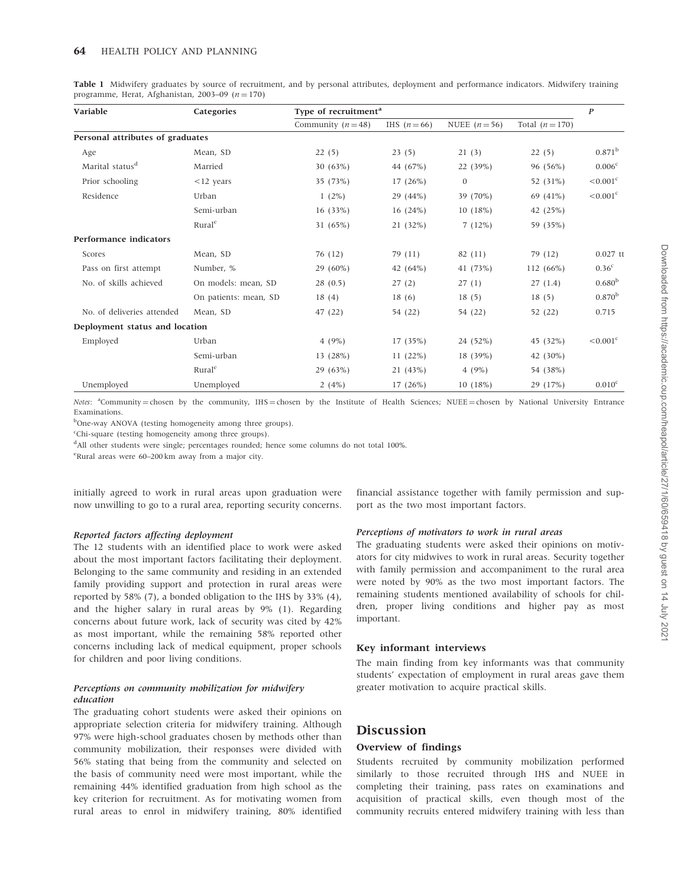| Variable                         | Categories            | Type of recruitment <sup>a</sup> |              |               |                 |                        |
|----------------------------------|-----------------------|----------------------------------|--------------|---------------|-----------------|------------------------|
|                                  |                       | Community $(n=48)$               | IHS $(n=66)$ | NUEE $(n=56)$ | Total $(n=170)$ |                        |
| Personal attributes of graduates |                       |                                  |              |               |                 |                        |
| Age                              | Mean, SD              | 22(5)                            | 23(5)        | 21(3)         | 22(5)           | $0.871^{b}$            |
| Marital status <sup>d</sup>      | Married               | 30 $(63%)$                       | 44 (67%)     | 22 (39%)      | 96 (56%)        | 0.006 <sup>c</sup>     |
| Prior schooling                  | $<$ 12 years          | 35 (73%)                         | 17(26%)      | $\mathbf{0}$  | 52 (31%)        | $< 0.001$ <sup>c</sup> |
| Residence                        | Urban                 | 1(2%)                            | 29 (44%)     | 39 (70%)      | 69 (41%)        | $< 0.001$ <sup>c</sup> |
|                                  | Semi-urban            | 16(33%)                          | 16 $(24%)$   | 10(18%)       | 42 (25%)        |                        |
|                                  | Rural <sup>e</sup>    | 31(65%)                          | 21 (32%)     | 7(12%)        | 59 (35%)        |                        |
| <b>Performance indicators</b>    |                       |                                  |              |               |                 |                        |
| Scores                           | Mean, SD              | 76 (12)                          | 79 (11)      | 82 (11)       | 79 (12)         | $0.027$ ti             |
| Pass on first attempt            | Number, %             | 29 (60%)                         | 42 (64%)     | 41 (73%)      | $112(66\%)$     | 0.36 <sup>c</sup>      |
| No. of skills achieved           | On models: mean, SD   | 28(0.5)                          | 27(2)        | 27(1)         | 27(1.4)         | $0.680^{b}$            |
|                                  | On patients: mean, SD | 18(4)                            | 18(6)        | 18(5)         | 18(5)           | $0.870^{b}$            |
| No. of deliveries attended       | Mean, SD              | 47 (22)                          | 54 (22)      | 54 (22)       | 52 (22)         | 0.715                  |
| Deployment status and location   |                       |                                  |              |               |                 |                        |
| Employed                         | Urban                 | 4(9%)                            | 17(35%)      | 24 (52%)      | 45 (32%)        | $< 0.001$ <sup>c</sup> |
|                                  | Semi-urban            | 13(28%)                          | 11(22%)      | 18 (39%)      | 42 (30%)        |                        |
|                                  | Rural <sup>e</sup>    | 29 (63%)                         | 21 (43%)     | 4(9%)         | 54 (38%)        |                        |
| Unemployed                       | Unemployed            | 2 $(4%)$                         | 17(26%)      | 10(18%)       | 29 (17%)        | $0.010^{c}$            |

Table 1 Midwifery graduates by source of recruitment, and by personal attributes, deployment and performance indicators. Midwifery training programme, Herat, Afghanistan, 2003–09 ( $n = 170$ )

Notes: <sup>a</sup>Community = chosen by the community, IHS = chosen by the Institute of Health Sciences; NUEE = chosen by National University Entrance Examinations.

b<sub>One-way</sub> ANOVA (testing homogeneity among three groups).

c Chi-square (testing homogeneity among three groups).

<sup>d</sup>All other students were single; percentages rounded; hence some columns do not total 100%.

e Rural areas were 60–200 km away from a major city.

initially agreed to work in rural areas upon graduation were now unwilling to go to a rural area, reporting security concerns.

#### Reported factors affecting deployment

The 12 students with an identified place to work were asked about the most important factors facilitating their deployment. Belonging to the same community and residing in an extended family providing support and protection in rural areas were reported by 58% (7), a bonded obligation to the IHS by 33% (4), and the higher salary in rural areas by 9% (1). Regarding concerns about future work, lack of security was cited by 42% as most important, while the remaining 58% reported other concerns including lack of medical equipment, proper schools for children and poor living conditions.

## Perceptions on community mobilization for midwifery education

The graduating cohort students were asked their opinions on appropriate selection criteria for midwifery training. Although 97% were high-school graduates chosen by methods other than community mobilization, their responses were divided with 56% stating that being from the community and selected on the basis of community need were most important, while the remaining 44% identified graduation from high school as the key criterion for recruitment. As for motivating women from rural areas to enrol in midwifery training, 80% identified

financial assistance together with family permission and support as the two most important factors.

#### Perceptions of motivators to work in rural areas

The graduating students were asked their opinions on motivators for city midwives to work in rural areas. Security together with family permission and accompaniment to the rural area were noted by 90% as the two most important factors. The remaining students mentioned availability of schools for children, proper living conditions and higher pay as most important.

#### Key informant interviews

The main finding from key informants was that community students' expectation of employment in rural areas gave them greater motivation to acquire practical skills.

# **Discussion**

## Overview of findings

Students recruited by community mobilization performed similarly to those recruited through IHS and NUEE in completing their training, pass rates on examinations and acquisition of practical skills, even though most of the community recruits entered midwifery training with less than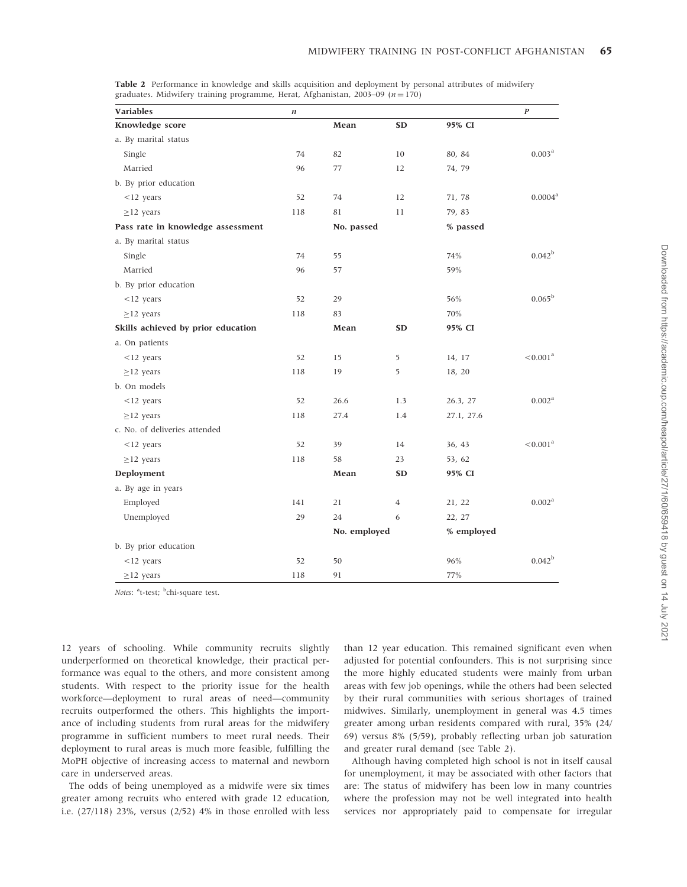| Table 2 Performance in knowledge and skills acquisition and deployment by personal attributes of midwifery |  |  |
|------------------------------------------------------------------------------------------------------------|--|--|
| graduates. Midwifery training programme, Herat, Afghanistan, 2003–09 ( $n = 170$ )                         |  |  |

| <b>Variables</b>                   | $\boldsymbol{n}$ |              |                |            | $\boldsymbol{P}$     |
|------------------------------------|------------------|--------------|----------------|------------|----------------------|
| Knowledge score                    |                  | Mean         | <b>SD</b>      | 95% CI     |                      |
| a. By marital status               |                  |              |                |            |                      |
| Single                             | 74               | 82           | 10             | 80, 84     | 0.003 <sup>a</sup>   |
| Married                            | 96               | 77           | 12             | 74, 79     |                      |
| b. By prior education              |                  |              |                |            |                      |
| $<$ 12 years                       | 52               | 74           | 12             | 71, 78     | $0.0004^{\rm a}$     |
| $\geq$ 12 years                    | 118              | 81           | 11             | 79, 83     |                      |
| Pass rate in knowledge assessment  |                  | No. passed   |                | % passed   |                      |
| a. By marital status               |                  |              |                |            |                      |
| Single                             | 74               | 55           |                | 74%        | $0.042^{\rm b}$      |
| Married                            | 96               | 57           |                | 59%        |                      |
| b. By prior education              |                  |              |                |            |                      |
| $<$ 12 years                       | 52               | 29           |                | 56%        | $0.065^{\rm b}$      |
| $\geq$ 12 years                    | 118              | 83           |                | 70%        |                      |
| Skills achieved by prior education |                  | Mean         | <b>SD</b>      | 95% CI     |                      |
| a. On patients                     |                  |              |                |            |                      |
| $<$ 12 years                       | 52               | 15           | 5              | 14, 17     | < 0.001 <sup>a</sup> |
| $\geq$ 12 years                    | 118              | 19           | 5              | 18, 20     |                      |
| b. On models                       |                  |              |                |            |                      |
| $<$ 12 years                       | 52               | 26.6         | 1.3            | 26.3, 27   | 0.002 <sup>a</sup>   |
| $\geq$ 12 years                    | 118              | 27.4         | 1.4            | 27.1, 27.6 |                      |
| c. No. of deliveries attended      |                  |              |                |            |                      |
| $<$ 12 years                       | 52               | 39           | 14             | 36, 43     | < 0.001 <sup>a</sup> |
| $\geq$ 12 years                    | 118              | 58           | 23             | 53, 62     |                      |
| Deployment                         |                  | Mean         | <b>SD</b>      | 95% CI     |                      |
| a. By age in years                 |                  |              |                |            |                      |
| Employed                           | 141              | 21           | $\overline{4}$ | 21, 22     | 0.002 <sup>a</sup>   |
| Unemployed                         | 29               | 24           | 6              | 22, 27     |                      |
|                                    |                  | No. employed |                | % employed |                      |
| b. By prior education              |                  |              |                |            |                      |
| $<$ 12 years                       | 52               | 50           |                | 96%        | $0.042^{\rm b}$      |
| $\geq$ 12 years                    | 118              | 91           |                | 77%        |                      |

Notes: <sup>a</sup>t-test; <sup>b</sup>chi-square test.

12 years of schooling. While community recruits slightly underperformed on theoretical knowledge, their practical performance was equal to the others, and more consistent among students. With respect to the priority issue for the health workforce—deployment to rural areas of need—community recruits outperformed the others. This highlights the importance of including students from rural areas for the midwifery programme in sufficient numbers to meet rural needs. Their deployment to rural areas is much more feasible, fulfilling the MoPH objective of increasing access to maternal and newborn care in underserved areas.

The odds of being unemployed as a midwife were six times greater among recruits who entered with grade 12 education, i.e. (27/118) 23%, versus (2/52) 4% in those enrolled with less than 12 year education. This remained significant even when adjusted for potential confounders. This is not surprising since the more highly educated students were mainly from urban areas with few job openings, while the others had been selected by their rural communities with serious shortages of trained midwives. Similarly, unemployment in general was 4.5 times greater among urban residents compared with rural, 35% (24/ 69) versus 8% (5/59), probably reflecting urban job saturation and greater rural demand (see Table 2).

Although having completed high school is not in itself causal for unemployment, it may be associated with other factors that are: The status of midwifery has been low in many countries where the profession may not be well integrated into health services nor appropriately paid to compensate for irregular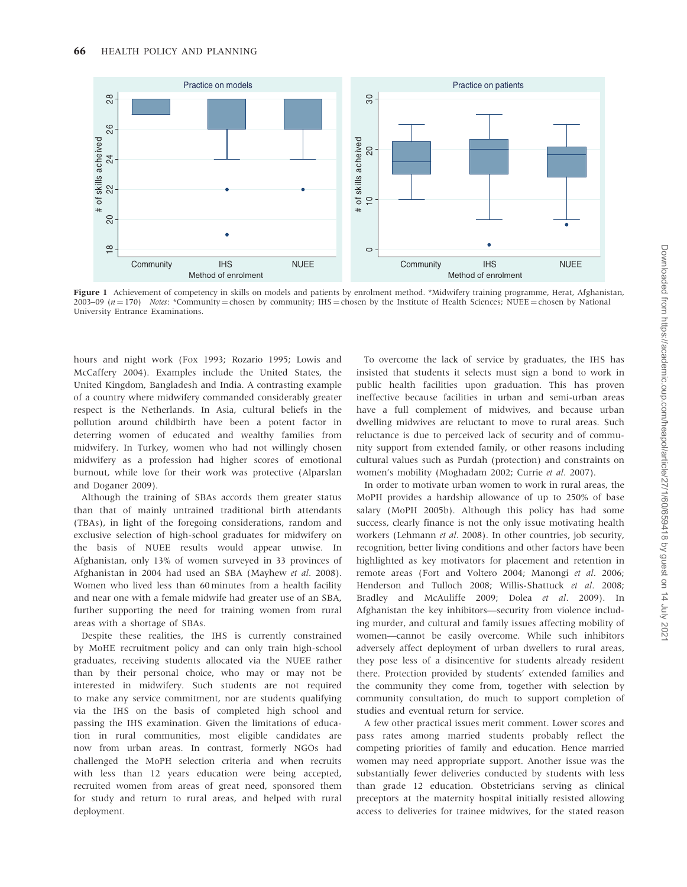

Figure 1 Achievement of competency in skills on models and patients by enrolment method. \*Midwifery training programme, Herat, Afghanistan, 2003–09 ( $n = 170$ ) Notes: \*Community = chosen by community; IHS = chosen by the Institute of Health Sciences; NUEE = chosen by National University Entrance Examinations.

hours and night work (Fox 1993; Rozario 1995; Lowis and McCaffery 2004). Examples include the United States, the United Kingdom, Bangladesh and India. A contrasting example of a country where midwifery commanded considerably greater respect is the Netherlands. In Asia, cultural beliefs in the pollution around childbirth have been a potent factor in deterring women of educated and wealthy families from midwifery. In Turkey, women who had not willingly chosen midwifery as a profession had higher scores of emotional burnout, while love for their work was protective (Alparslan and Doganer 2009).

Although the training of SBAs accords them greater status than that of mainly untrained traditional birth attendants (TBAs), in light of the foregoing considerations, random and exclusive selection of high-school graduates for midwifery on the basis of NUEE results would appear unwise. In Afghanistan, only 13% of women surveyed in 33 provinces of Afghanistan in 2004 had used an SBA (Mayhew et al. 2008). Women who lived less than 60 minutes from a health facility and near one with a female midwife had greater use of an SBA, further supporting the need for training women from rural areas with a shortage of SBAs.

Despite these realities, the IHS is currently constrained by MoHE recruitment policy and can only train high-school graduates, receiving students allocated via the NUEE rather than by their personal choice, who may or may not be interested in midwifery. Such students are not required to make any service commitment, nor are students qualifying via the IHS on the basis of completed high school and passing the IHS examination. Given the limitations of education in rural communities, most eligible candidates are now from urban areas. In contrast, formerly NGOs had challenged the MoPH selection criteria and when recruits with less than 12 years education were being accepted, recruited women from areas of great need, sponsored them for study and return to rural areas, and helped with rural deployment.

To overcome the lack of service by graduates, the IHS has insisted that students it selects must sign a bond to work in public health facilities upon graduation. This has proven ineffective because facilities in urban and semi-urban areas have a full complement of midwives, and because urban dwelling midwives are reluctant to move to rural areas. Such reluctance is due to perceived lack of security and of community support from extended family, or other reasons including cultural values such as Purdah (protection) and constraints on women's mobility (Moghadam 2002; Currie et al. 2007).

In order to motivate urban women to work in rural areas, the MoPH provides a hardship allowance of up to 250% of base salary (MoPH 2005b). Although this policy has had some success, clearly finance is not the only issue motivating health workers (Lehmann et al. 2008). In other countries, job security, recognition, better living conditions and other factors have been highlighted as key motivators for placement and retention in remote areas (Fort and Voltero 2004; Manongi et al. 2006; Henderson and Tulloch 2008; Willis-Shattuck et al. 2008; Bradley and McAuliffe 2009; Dolea et al. 2009). In Afghanistan the key inhibitors—security from violence including murder, and cultural and family issues affecting mobility of women—cannot be easily overcome. While such inhibitors adversely affect deployment of urban dwellers to rural areas, they pose less of a disincentive for students already resident there. Protection provided by students' extended families and the community they come from, together with selection by community consultation, do much to support completion of studies and eventual return for service.

A few other practical issues merit comment. Lower scores and pass rates among married students probably reflect the competing priorities of family and education. Hence married women may need appropriate support. Another issue was the substantially fewer deliveries conducted by students with less than grade 12 education. Obstetricians serving as clinical preceptors at the maternity hospital initially resisted allowing access to deliveries for trainee midwives, for the stated reason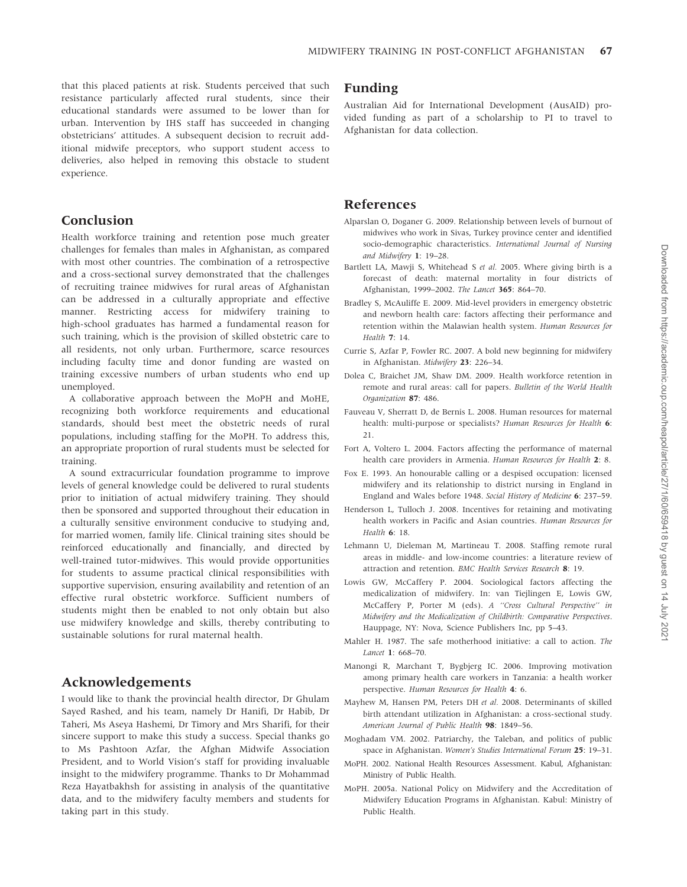that this placed patients at risk. Students perceived that such resistance particularly affected rural students, since their educational standards were assumed to be lower than for urban. Intervention by IHS staff has succeeded in changing obstetricians' attitudes. A subsequent decision to recruit additional midwife preceptors, who support student access to deliveries, also helped in removing this obstacle to student experience.

# Conclusion

Health workforce training and retention pose much greater challenges for females than males in Afghanistan, as compared with most other countries. The combination of a retrospective and a cross-sectional survey demonstrated that the challenges of recruiting trainee midwives for rural areas of Afghanistan can be addressed in a culturally appropriate and effective manner. Restricting access for midwifery training to high-school graduates has harmed a fundamental reason for such training, which is the provision of skilled obstetric care to all residents, not only urban. Furthermore, scarce resources including faculty time and donor funding are wasted on training excessive numbers of urban students who end up unemployed.

A collaborative approach between the MoPH and MoHE, recognizing both workforce requirements and educational standards, should best meet the obstetric needs of rural populations, including staffing for the MoPH. To address this, an appropriate proportion of rural students must be selected for training.

A sound extracurricular foundation programme to improve levels of general knowledge could be delivered to rural students prior to initiation of actual midwifery training. They should then be sponsored and supported throughout their education in a culturally sensitive environment conducive to studying and, for married women, family life. Clinical training sites should be reinforced educationally and financially, and directed by well-trained tutor-midwives. This would provide opportunities for students to assume practical clinical responsibilities with supportive supervision, ensuring availability and retention of an effective rural obstetric workforce. Sufficient numbers of students might then be enabled to not only obtain but also use midwifery knowledge and skills, thereby contributing to sustainable solutions for rural maternal health.

# Acknowledgements

I would like to thank the provincial health director, Dr Ghulam Sayed Rashed, and his team, namely Dr Hanifi, Dr Habib, Dr Taheri, Ms Aseya Hashemi, Dr Timory and Mrs Sharifi, for their sincere support to make this study a success. Special thanks go to Ms Pashtoon Azfar, the Afghan Midwife Association President, and to World Vision's staff for providing invaluable insight to the midwifery programme. Thanks to Dr Mohammad Reza Hayatbakhsh for assisting in analysis of the quantitative data, and to the midwifery faculty members and students for taking part in this study.

# Funding

Australian Aid for International Development (AusAID) provided funding as part of a scholarship to PI to travel to Afghanistan for data collection.

# References

- Alparslan O, Doganer G. 2009. Relationship between levels of burnout of midwives who work in Sivas, Turkey province center and identified socio-demographic characteristics. International Journal of Nursing and Midwifery 1: 19–28.
- Bartlett LA, Mawji S, Whitehead S et al. 2005. Where giving birth is a forecast of death: maternal mortality in four districts of Afghanistan, 1999–2002. The Lancet 365: 864–70.
- Bradley S, McAuliffe E. 2009. Mid-level providers in emergency obstetric and newborn health care: factors affecting their performance and retention within the Malawian health system. Human Resources for Health 7: 14.
- Currie S, Azfar P, Fowler RC. 2007. A bold new beginning for midwifery in Afghanistan. Midwifery 23: 226–34.
- Dolea C, Braichet JM, Shaw DM. 2009. Health workforce retention in remote and rural areas: call for papers. Bulletin of the World Health Organization 87: 486.
- Fauveau V, Sherratt D, de Bernis L. 2008. Human resources for maternal health: multi-purpose or specialists? Human Resources for Health 6: 21.
- Fort A, Voltero L. 2004. Factors affecting the performance of maternal health care providers in Armenia. Human Resources for Health 2: 8.
- Fox E. 1993. An honourable calling or a despised occupation: licensed midwifery and its relationship to district nursing in England in England and Wales before 1948. Social History of Medicine 6: 237–59.
- Henderson L, Tulloch J. 2008. Incentives for retaining and motivating health workers in Pacific and Asian countries. Human Resources for Health  $6: 18$ .
- Lehmann U, Dieleman M, Martineau T. 2008. Staffing remote rural areas in middle- and low-income countries: a literature review of attraction and retention. BMC Health Services Research 8: 19.
- Lowis GW, McCaffery P. 2004. Sociological factors affecting the medicalization of midwifery. In: van Tiejlingen E, Lowis GW, McCaffery P, Porter M (eds). A ''Cross Cultural Perspective'' in Midwifery and the Medicalization of Childbirth: Comparative Perspectives. Hauppage, NY: Nova, Science Publishers Inc, pp 5–43.
- Mahler H. 1987. The safe motherhood initiative: a call to action. The Lancet 1: 668–70.
- Manongi R, Marchant T, Bygbjerg IC. 2006. Improving motivation among primary health care workers in Tanzania: a health worker perspective. Human Resources for Health 4: 6.
- Mayhew M, Hansen PM, Peters DH et al. 2008. Determinants of skilled birth attendant utilization in Afghanistan: a cross-sectional study. American Journal of Public Health 98: 1849-56.
- Moghadam VM. 2002. Patriarchy, the Taleban, and politics of public space in Afghanistan. Women's Studies International Forum 25: 19-31.
- MoPH. 2002. National Health Resources Assessment. Kabul, Afghanistan: Ministry of Public Health.
- MoPH. 2005a. National Policy on Midwifery and the Accreditation of Midwifery Education Programs in Afghanistan. Kabul: Ministry of Public Health.